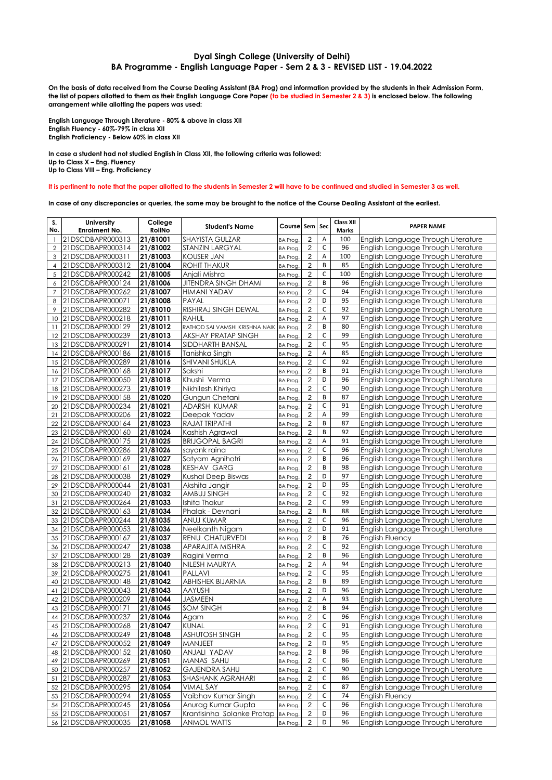## **Dyal Singh College (University of Delhi) BA Programme - English Language Paper - Sem 2 & 3 - REVISED LIST - 19.04.2022**

**On the basis of data received from the Course Dealing Assistant (BA Prog) and information provided by the students in their Admission Form, the list of papers allotted to them as their English Language Core Paper (to be studied in Semester 2 & 3) is enclosed below. The following arrangement while allotting the papers was used:**

**English Language Through Literature - 80% & above in class XII English Fluency - 60%-79% in class XII English Proficiency - Below 60% in class XII**

**In case a student had not studied English in Class XII, the following criteria was followed: Up to Class X – Eng. Fluency Up to Class VIII – Eng. Proficiency**

## **It is pertinent to note that the paper allotted to the students in Semester 2 will have to be continued and studied in Semester 3 as well.**

**In case of any discrepancies or queries, the same may be brought to the notice of the Course Dealing Assistant at the earliest.**

| S.<br>No.      | <b>University</b><br>Enrolment No.         | College<br>RollNo    | <b>Student's Name</b>               | Course Sem Sec              |                                  |                  | <b>Class XII</b><br>Marks | <b>PAPER NAME</b>                                                          |
|----------------|--------------------------------------------|----------------------|-------------------------------------|-----------------------------|----------------------------------|------------------|---------------------------|----------------------------------------------------------------------------|
| $\mathbf{1}$   | 21DSCDBAPR000313                           | 21/81001             | <b>SHAYISTA GULZAR</b>              | BA Prog.                    | 2                                | Α                | 100                       | English Language Through Literature                                        |
| $\mathbf{2}$   | 21DSCDBAPR000314                           | 21/81002             | <b>STANZIN LARGYAL</b>              | <b>BA Prog.</b>             | $\overline{2}$                   | C                | 96                        | English Language Through Literature                                        |
| 3              | 21DSCDBAPR000311                           | 21/81003             | <b>KOUSER JAN</b>                   | <b>BA Prog.</b>             | $\overline{2}$                   | A                | 100                       | English Language Through Literature                                        |
| $\overline{4}$ | 21DSCDBAPR000312                           | 21/81004             | <b>ROHIT THAKUR</b>                 | <b>BA Prog.</b>             | $\overline{2}$                   | B                | 85                        | English Language Through Literature                                        |
| 5              | 21DSCDBAPR000242                           | 21/81005             | Anjali Mishra                       | BA Prog.                    | $\overline{2}$                   | $\mathsf C$      | 100                       | English Language Through Literature                                        |
| 6              | 21DSCDBAPR000124                           | 21/81006             | <b>JITENDRA SINGH DHAMI</b>         | <b>BA Prog.</b>             | $\overline{2}$                   | B                | 96                        | English Language Through Literature                                        |
| $\overline{7}$ | 21DSCDBAPR000262                           | 21/81007             | <b>HIMANI YADAV</b>                 | <b>BA Prog.</b>             | $\overline{2}$                   | C                | 94                        | English Language Through Literature                                        |
| 8              | 21DSCDBAPR000071                           | 21/81008             | PAYAL                               | <b>BA Prog.</b>             | $\overline{2}$                   | D                | 95                        | English Language Through Literature                                        |
| 9              | 21DSCDBAPR000282                           | 21/81010             | RISHIRAJ SINGH DEWAL                | <b>BA Prog</b>              | $\overline{2}$                   | $\mathsf C$      | 92                        | English Language Through Literature                                        |
| 10             | 21DSCDBAPR000218                           | 21/81011             | <b>RAHUL</b>                        | <b>BA Prog.</b>             | $\overline{2}$                   | A                | 97                        | English Language Through Literature                                        |
| 11             | 21DSCDBAPR000129                           | 21/81012             | RATHOD SAI VAMSHI KRISHNA NAIK      | <b>BA Prog.</b>             | $\overline{c}$                   | B                | 80                        | English Language Through Literature                                        |
| 12             | 21DSCDBAPR000239                           | 21/81013             | <b>AKSHAY PRATAP SINGH</b>          | <b>BA Prog.</b>             | $\overline{c}$                   | $\mathsf C$      | 99                        | English Language Through Literature                                        |
|                | 13 21DSCDBAPR000291                        | 21/81014             | SIDDHARTH BANSAL                    | BA Prog.                    | $\overline{2}$                   | $\mathsf C$      | 95                        | English Language Through Literature                                        |
|                | 14 21DSCDBAPR000186<br>15 21DSCDBAPR000289 | 21/81015             | Tanishka Singh<br>SHIVANI SHUKLA    | BA Prog.                    | $\overline{c}$<br>$\overline{2}$ | A<br>$\mathsf C$ | 85<br>92                  | English Language Through Literature                                        |
|                | 16 21DSCDBAPR000168                        | 21/81016<br>21/81017 | Sakshi                              | BA Prog.                    | $\overline{2}$                   | B                | 91                        | English Language Through Literature<br>English Language Through Literature |
| 17             | 21DSCDBAPR000050                           | 21/81018             | Khushi Verma                        | BA Prog.<br>BA Prog.        | $\overline{2}$                   | D                | 96                        | English Language Through Literature                                        |
| 18             | 21DSCDBAPR000273                           | 21/81019             | Nikhilesh Khiriya                   | BA Prog.                    | $\overline{c}$                   | $\mathsf C$      | 90                        | English Language Through Literature                                        |
| 19             | 21DSCDBAPR000158                           | 21/81020             | Gungun Chetani                      | <b>BA Prog.</b>             | $\overline{2}$                   | B                | 87                        | English Language Through Literature                                        |
| 20             | 21DSCDBAPR000234                           | 21/81021             | ADARSH KUMAR                        | <b>BA Prog.</b>             | $\overline{2}$                   | $\mathsf C$      | 91                        | English Language Through Literature                                        |
| 21             | 21DSCDBAPR000206                           | 21/81022             | Deepak Yadav                        | <b>BA Prog.</b>             | $\overline{2}$                   | A                | 99                        | English Language Through Literature                                        |
| 22             | 21DSCDBAPR000164                           | 21/81023             | RAJAT TRIPATHI                      | <b>BA Prog.</b>             | $\overline{2}$                   | B                | 87                        | English Language Through Literature                                        |
| 23             | 21DSCDBAPR000160                           | 21/81024             | Kashish Agrawal                     | <b>BA Prog.</b>             | $\overline{c}$                   | B                | 92                        | English Language Through Literature                                        |
|                | 24 21DSCDBAPR000175                        | 21/81025             | <b>BRIJGOPAL BAGRI</b>              | <b>BA Prog.</b>             | $\overline{2}$                   | A                | 91                        | English Language Through Literature                                        |
| 25             | 21DSCDBAPR000286                           | 21/81026             | sayank raina                        | BA Prog.                    | $\overline{c}$                   | $\mathsf C$      | 96                        | English Language Through Literature                                        |
| 26             | 21DSCDBAPR000169                           | 21/81027             | Satyam Agnihotri                    | <b>BA Prog.</b>             | $\overline{2}$                   | B                | 96                        | English Language Through Literature                                        |
| 27             | 21DSCDBAPR000161                           | 21/81028             | <b>KESHAV GARG</b>                  | <b>BA Prog.</b>             | $\overline{2}$                   | B                | 98                        | English Language Through Literature                                        |
| 28             | 21DSCDBAPR000038                           | 21/81029             | <b>Kushal Deep Biswas</b>           | <b>BA Prog.</b>             | $\overline{2}$                   | D                | 97                        | English Language Through Literature                                        |
|                | 29 21DSCDBAPR000044                        | 21/81031             | Akshita Jangir                      | <b>BA Prog.</b>             | $\overline{2}$                   | D                | 95                        | English Language Through Literature                                        |
| 30             | 21DSCDBAPR000240                           | 21/81032             | AMBUJ SINGH                         | BA Prog.                    | $\overline{c}$                   | $\mathsf C$      | 92                        | English Language Through Literature                                        |
| 31             | 21DSCDBAPR000264                           | 21/81033             | Ishita Thakur                       | BA Prog.                    | $\overline{2}$                   | $\mathsf C$      | 99                        | English Language Through Literature                                        |
| 32             | 21DSCDBAPR000163                           | 21/81034             | Phalak - Devnani                    | BA Prog.                    | $\overline{c}$                   | B                | 88                        | English Language Through Literature                                        |
|                | 33 21DSCDBAPR000244                        | 21/81035             | ANUJ KUMAR                          | <b>BA Prog.</b>             | $\overline{2}$                   | $\mathsf C$      | 96                        | English Language Through Literature                                        |
|                | 34 21DSCDBAPR000053                        | 21/81036             | Neelkanth Nigam                     | <b>BA Prog.</b>             | $\overline{2}$                   | D<br>B           | 91                        | English Language Through Literature                                        |
|                | 35 21DSCDBAPR000167                        | 21/81037<br>21/81038 | RENU CHATURVEDI<br>APARAJITA MISHRA | BA Prog.                    | $\overline{2}$<br>$\overline{2}$ | $\mathsf C$      | 76<br>92                  | <b>English Fluency</b>                                                     |
| 37             | 36 21DSCDBAPR000247<br>21DSCDBAPR000128    | 21/81039             | Ragini Verma                        | BA Prog.                    | $\overline{c}$                   | B                | 96                        | English Language Through Literature<br>English Language Through Literature |
|                | 38 21DSCDBAPR000213                        | 21/81040             | NILESH MAURYA                       | BA Prog.<br><b>BA Prog.</b> | $\overline{2}$                   | A                | 94                        | English Language Through Literature                                        |
| 39             | 21DSCDBAPR000275                           | 21/81041             | PALLAVI                             | BA Prog.                    | $\overline{2}$                   | $\mathsf C$      | 95                        | English Language Through Literature                                        |
| 40             | 21DSCDBAPR000148                           | 21/81042             | <b>ABHISHEK BIJARNIA</b>            | <b>BA Prog.</b>             | $\overline{2}$                   | B                | 89                        | English Language Through Literature                                        |
| 41             | 21DSCDBAPR000043                           | 21/81043             | <b>AAYUSHI</b>                      | BA Prog.                    | $\overline{2}$                   | D                | 96                        | English Language Through Literature                                        |
| 42             | 21DSCDBAPR000209                           | 21/81044             | <b>JASMEEN</b>                      | <b>BA Prog.</b>             | $\overline{2}$                   | A                | 93                        | English Language Through Literature                                        |
| 43             | 21DSCDBAPR000171                           | 21/81045             | <b>SOM SINGH</b>                    | <b>BA Prog.</b>             | $\overline{c}$                   | B                | 94                        | English Language Through Literature                                        |
| 44             | 21DSCDBAPR000237                           | 21/81046             | Agam                                | BA Prog.                    | $\overline{2}$                   | $\mathsf C$      | 96                        | English Language Through Literature                                        |
|                | 45 21DSCDBAPR000268                        | 21/81047             | <b>KUNAL</b>                        | BA Prog.                    | $\overline{\mathbf{c}}$          | $\overline{C}$   | 91                        | English Language Through Literature                                        |
|                | 46 21DSCDBAPR000249                        | 21/81048             | ASHUTOSH SINGH                      | BA Prog.                    | 2                                | C                | 95                        | English Language Through Literature                                        |
|                | 47 21DSCDBAPR000052                        | 21/81049             | MANJEET                             | BA Prog.                    | $\overline{c}$                   | D                | 95                        | English Language Through Literature                                        |
|                | 48 21DSCDBAPR000152                        | 21/81050             | ANJALI YADAV                        | BA Prog.                    | 2                                | В                | 96                        | English Language Through Literature                                        |
|                | 49 21DSCDBAPR000269                        | 21/81051             | MANAS SAHU                          | BA Prog.                    | 2                                | С                | 86                        | English Language Through Literature                                        |
|                | 50 21DSCDBAPR000257                        | 21/81052             | <b>GAJENDRA SAHU</b>                | BA Prog.                    | 2                                | $\mathsf C$      | 90                        | English Language Through Literature                                        |
|                | 51 21DSCDBAPR000287                        | 21/81053             | SHASHANK AGRAHARI                   | BA Prog.                    | $\overline{\mathbf{c}}$          | $\overline{C}$   | 86                        | English Language Through Literature                                        |
|                | 52 21DSCDBAPR000295                        | 21/81054             | VIMAL SAY                           | <b>BA Prog.</b>             | $\overline{2}$                   | $\mathsf C$      | 87                        | English Language Through Literature                                        |
|                | 53 21DSCDBAPR000294                        | 21/81055             | Vaibhav Kumar Singh                 | BA Prog.                    | $\overline{2}$                   | C                | 74                        | English Fluency                                                            |
|                | 54 21DSCDBAPR000245                        | 21/81056             | Anurag Kumar Gupta                  | BA Prog.                    | $\sqrt{2}$                       | $\mathsf C$      | 96                        | English Language Through Literature                                        |
|                | 55 21DSCDBAPR000051                        | 21/81057             | Krantisinha Solanke Pratap          | BA Prog.                    | 2                                | D                | 96                        | English Language Through Literature                                        |
|                | 56 21DSCDBAPR000035                        | 21/81058             | <b>ANMOL WATTS</b>                  | <b>BA Prog.</b>             | $\overline{c}$                   | D                | 96                        | English Language Through Literature                                        |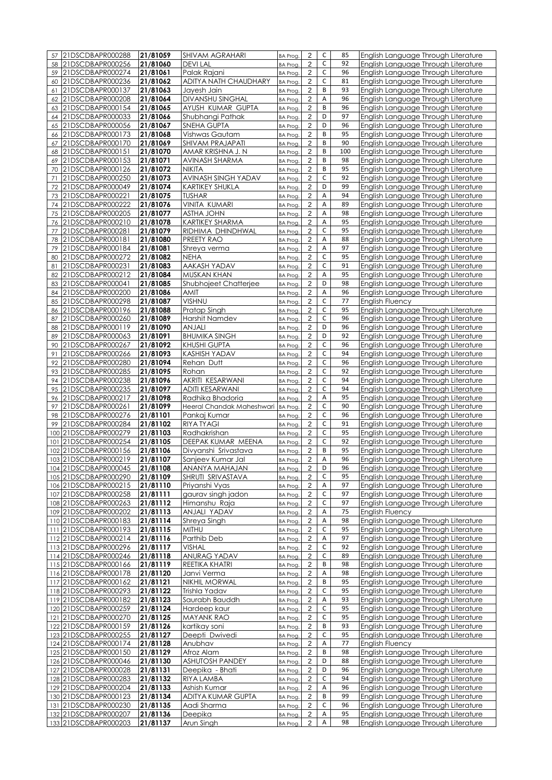| 57       | 21DSCDBAPR000288      | 21/81059             | <b>SHIVAM AGRAHARI</b>    | BA Prog.                          | $\overline{2}$          | C           | 85  | English Language Through Literature |
|----------|-----------------------|----------------------|---------------------------|-----------------------------------|-------------------------|-------------|-----|-------------------------------------|
| 58       | 21DSCDBAPR000256      | 21/81060             | <b>DEVILAL</b>            | <b>BA Prog</b>                    | $\overline{2}$          | $\mathsf C$ | 92  | English Language Through Literature |
|          | 59 21DSCDBAPR000274   | 21/81061             | Palak Rajani              | <b>BA Prog</b>                    | $\overline{2}$          | C           | 96  | English Language Through Literature |
| 60       | 21DSCDBAPR000236      | 21/81062             | ADITYA NATH CHAUDHARY     | <b>BA Prog.</b>                   | $\overline{2}$          | $\mathsf C$ | 81  | English Language Through Literature |
|          | 21DSCDBAPR000137      | 21/81063             | Jayesh Jain               |                                   | $\overline{2}$          | B           | 93  | English Language Through Literature |
| 61       |                       |                      | <b>DIVANSHU SINGHAL</b>   | <b>BA Prog.</b>                   |                         | А           | 96  |                                     |
| 62       | 21DSCDBAPR000208      | 21/81064<br>21/81065 | AYUSH KUMAR GUPTA         | <b>BA Prog.</b>                   | $\overline{2}$          | B           |     | English Language Through Literature |
| 63       | 21DSCDBAPR000154      |                      |                           | BA Prog.                          | $\overline{2}$          |             | 96  | English Language Through Literature |
| 64       | 21DSCDBAPR000033      | 21/81066             | Shubhangi Pathak          | <b>BA Prog</b>                    | $\overline{c}$          | D           | 97  | English Language Through Literature |
| 65       | 21DSCDBAPR000056      | 21/81067             | SNEHA GUPTA               | <b>BA Prog</b>                    | $\overline{2}$          | D           | 96  | English Language Through Literature |
| 66       | 21DSCDBAPR000173      | 21/81068             | Vishwas Gautam            | <b>BA Prog</b>                    | $\overline{2}$          | B           | 95  | English Language Through Literature |
| 67       | 21DSCDBAPR000170      | 21/81069             | SHIVAM PRAJAPATI          | <b>BA Prog</b>                    | $\sqrt{2}$              | B           | 90  | English Language Through Literature |
| 68       | 21DSCDBAPR000151      | 21/81070             | AMAR KRISHNA J. N         | BA Prog.                          | $\overline{c}$          | B           | 100 | English Language Through Literature |
| 69       | 21DSCDBAPR000153      | 21/81071             | AVINASH SHARMA            | <b>BA Prog</b>                    | $\overline{2}$          | B           | 98  | English Language Through Literature |
| 70       | 21DSCDBAPR000126      | 21/81072             | NIKITA                    | <b>BA Prog.</b>                   | $\overline{c}$          | B           | 95  | English Language Through Literature |
| 71       | 21DSCDBAPR000250      | 21/81073             | AVINASH SINGH YADAV       | <b>BA Prog</b>                    | $\overline{2}$          | $\mathsf C$ | 92  | English Language Through Literature |
| 72       | 21DSCDBAPR000049      | 21/81074             | <b>KARTIKEY SHUKLA</b>    | <b>BA Prog</b>                    | $\overline{2}$          | D           | 99  | English Language Through Literature |
| 73       | 21DSCDBAPR000221      | 21/81075             | <b>TUSHAR</b>             | <b>BA Prog.</b>                   | $\overline{2}$          | Α           | 94  | English Language Through Literature |
| 74       | 21DSCDBAPR000222      | 21/81076             | <b>VINITA KUMARI</b>      | <b>BA Prog.</b>                   | $\overline{2}$          | A           | 89  | English Language Through Literature |
| 75       | 21DSCDBAPR000205      | 21/81077             | <b>ASTHA JOHN</b>         | <b>BA Prog.</b>                   | $\overline{2}$          | Α           | 98  | English Language Through Literature |
| 76       | 21DSCDBAPR000210      | 21/81078             | KARTIKEY SHARMA           | <b>BA Prog</b>                    | $\overline{\mathbf{c}}$ | Α           | 95  | English Language Through Literature |
| 77       | 21DSCDBAPR000281      | 21/81079             | RIDHIMA DHINDHWAL         | <b>BA Prog</b>                    | $\overline{2}$          | $\mathsf C$ | 95  | English Language Through Literature |
| 78       | 21DSCDBAPR000181      | 21/81080             | PREETY RAO                | <b>BA Prog</b>                    | $\overline{2}$          | А           | 88  | English Language Through Literature |
| 79       | 21DSCDBAPR000184      | 21/81081             | Shreya verma              | <b>BA Prog</b>                    | $\overline{2}$          | A           | 97  | English Language Through Literature |
| 80       | 21DSCDBAPR000272      | 21/81082             | <b>NEHA</b>               | <b>BA Prog.</b>                   | $\overline{2}$          | $\mathsf C$ | 95  | English Language Through Literature |
| 81       | 21DSCDBAPR000231      | 21/81083             | AAKASH YADAV              | <b>BA Prog.</b>                   | $\overline{2}$          | $\mathsf C$ | 91  | English Language Through Literature |
| 82       | 21DSCDBAPR000212      | 21/81084             | <b>MUSKAN KHAN</b>        | <b>BA Prog.</b>                   | $\overline{2}$          | Α           | 95  | English Language Through Literature |
| 83       | 21DSCDBAPR000041      | 21/81085             | Shubhojeet Chatterjee     | <b>BA Prog</b>                    | $\overline{\mathbf{c}}$ | D           | 98  | English Language Through Literature |
| 84       | 21DSCDBAPR000200      | 21/81086             | AMIT                      | <b>BA Prog</b>                    | $\overline{2}$          | A           | 96  | English Language Through Literature |
| 85       | 21DSCDBAPR000298      | 21/81087             | VISHNU                    | <b>BA Prog</b>                    | $\overline{2}$          | $\mathsf C$ | 77  | <b>English Fluency</b>              |
| 86       | 21DSCDBAPR000196      | 21/81088             | Pratap Singh              |                                   | $\overline{2}$          | $\mathsf C$ | 95  | English Language Through Literature |
| 87       | 21DSCDBAPR000260      | 21/81089             | Harshit Namdev            | <b>BA Prog</b><br><b>BA Prog.</b> | $\overline{2}$          | $\mathsf C$ | 96  | English Language Through Literature |
|          | 21DSCDBAPR000119      | 21/81090             | ANJALI                    |                                   | $\overline{c}$          | D           | 96  | English Language Through Literature |
| 88       | 21DSCDBAPR000063      | 21/81091             | <b>BHUMIKA SINGH</b>      | <b>BA Prog</b>                    | $\overline{c}$          | D           | 92  | English Language Through Literature |
| 89       | 21DSCDBAPR000267      | 21/81092             | KHUSHI GUPTA              | <b>BA Prog</b>                    | $\overline{2}$          | C           | 96  |                                     |
| 90<br>91 | 21DSCDBAPR000266      |                      | <b>KASHISH YADAV</b>      | <b>BA Prog</b>                    | $\overline{2}$          | $\mathsf C$ | 94  | English Language Through Literature |
|          |                       | 21/81093             |                           | <b>BA Prog</b>                    |                         | C           | 96  | English Language Through Literature |
| 92       | 21DSCDBAPR000280      | 21/81094             | Rehan Dutt                | <b>BA Prog.</b>                   | $\overline{2}$          |             |     | English Language Through Literature |
| 93       | 21DSCDBAPR000285      | 21/81095             | Rohan                     | <b>BA Prog</b>                    | $\overline{c}$          | C           | 92  | English Language Through Literature |
| 94       | 21DSCDBAPR000238      | 21/81096             | AKRITI KESARWANI          | BA Prog.                          | $\overline{2}$          | C           | 94  | English Language Through Literature |
| 95       | 21DSCDBAPR000235      | 21/81097             | <b>ADITI KESARWANI</b>    | <b>BA Prog</b>                    | $\overline{c}$          | C           | 94  | English Language Through Literature |
| 96       | 21DSCDBAPR000217      | 21/81098             | Radhika Bhadoria          | <b>BA Prog</b>                    | $\overline{2}$          | A           | 95  | English Language Through Literature |
| 97       | 21DSCDBAPR000261      | 21/81099             | Heeral Chandak Maheshwari | <b>BA Prog</b>                    | $\overline{2}$          | C           | 90  | English Language Through Literature |
| 98       | 21DSCDBAPR000276      | 21/81101             | Pankaj Kumar              | <b>BA Prog</b>                    | $\overline{2}$          | C           | 96  | English Language Through Literature |
| 99       | 21DSCDBAPR000284      | 21/81102             | <b>RIYATYAGI</b>          | <b>BA Prog.</b>                   | $\overline{\mathbf{c}}$ | C           | 91  | English Language Through Literature |
| 100      | 21DSCDBAPR000279      | 21/81103             | Radhakrishan              | <b>BA Prog</b>                    | $\overline{c}$          | C           | 95  | English Language Through Literature |
| 101      | 21DSCDBAPR000254      | 21/81105             | DEEPAK KUMAR MEENA        | <b>BA Prog.</b>                   | $\overline{c}$          | $\mathsf C$ | 92  | English Language Through Literature |
| 102      | 21DSCDBAPR000156      | 21/81106             | Divyanshi Srivastava      | <b>BA Prog</b>                    | $\overline{2}$          | B           | 95  | English Language Through Literature |
|          | 103 21DSCDBAPR000219  | 21/81107             | Sanjeev Kumar Jal         | <b>BA Prog.</b>                   | $\overline{2}$          | A           | 96  | English Language Through Literature |
|          | 104 21 DSCDBAPR000045 | 21/81108             | ANANYA MAHAJAN            | BA Prog.                          | 2                       | D           | 96  | English Language Through Literature |
|          | 105 21DSCDBAPR000290  | 21/81109             | SHRUTI SRIVASTAVA         | <b>BA Prog.</b>                   | $\overline{2}$          | $\mathsf C$ | 95  | English Language Through Literature |
|          | 106 21DSCDBAPR000215  | 21/81110             | Priyanshi Vyas            | <b>BA Prog.</b>                   | $\overline{\mathbf{c}}$ | Α           | 97  | English Language Through Literature |
|          | 107 21DSCDBAPR000258  | 21/81111             | gaurav singh jadon        | <b>BA Prog.</b>                   | $\overline{c}$          | C           | 97  | English Language Through Literature |
|          | 108 21DSCDBAPR000263  | 21/81112             | Himanshu Raja             | <b>BA Prog.</b>                   | $\overline{c}$          | $\mathsf C$ | 97  | English Language Through Literature |
|          | 109 21DSCDBAPR000202  | 21/81113             | ANJALI YADAV              | <b>BA Prog.</b>                   | 2                       | Α           | 75  | <b>English Fluency</b>              |
|          | 110 21DSCDBAPR000183  | 21/81114             | Shreya Singh              | <b>BA Prog</b>                    | $\overline{c}$          | А           | 98  | English Language Through Literature |
|          | 111 21DSCDBAPR000193  | 21/81115             | MITHU                     | <b>BA Prog.</b>                   | $\overline{c}$          | C           | 95  | English Language Through Literature |
|          | 112 21DSCDBAPR000214  | 21/81116             | Parthib Deb               | BA Prog.                          | $\overline{c}$          | А           | 97  | English Language Through Literature |
|          | 113 21 DSCDBAPR000296 | 21/81117             | <b>VISHAL</b>             | <b>BA Prog.</b>                   | $\sqrt{2}$              | С           | 92  | English Language Through Literature |
|          | 114 21DSCDBAPR000246  | 21/81118             | ANURAG YADAV              | <b>BA Prog</b>                    | $\overline{\mathbf{c}}$ | $\mathsf C$ | 89  | English Language Through Literature |
|          | 115 21DSCDBAPR000166  | 21/81119             | REETIKA KHATRI            | <b>BA Prog</b>                    | $\overline{2}$          | B           | 98  | English Language Through Literature |
|          | 116 21DSCDBAPR000178  | 21/81120             | Janvi Verma               | <b>BA Prog.</b>                   | $\overline{c}$          | Α           | 98  | English Language Through Literature |
|          | 117 21DSCDBAPR000162  | 21/81121             | NIKHIL MORWAL             | <b>BA Prog.</b>                   | $\sqrt{2}$              | B           | 95  | English Language Through Literature |
|          | 118 21DSCDBAPR000293  | 21/81122             | Trishla Yadav             | <b>BA Prog.</b>                   | $\overline{\mathbf{c}}$ | $\mathsf C$ | 95  | English Language Through Literature |
|          | 119 21DSCDBAPR000182  | 21/81123             | Saurabh Bauddh            | <b>BA Prog.</b>                   | $\overline{\mathbf{c}}$ | Α           | 93  | English Language Through Literature |
|          | 120 21DSCDBAPR000259  | 21/81124             | Hardeep kaur              | <b>BA Prog</b>                    | $\overline{c}$          | С           | 95  | English Language Through Literature |
|          | 121 21DSCDBAPR000270  | 21/81125             | MAYANK RAO                | <b>BA Prog.</b>                   | 2                       | $\mathsf C$ | 95  | English Language Through Literature |
|          | 122 21DSCDBAPR000159  | 21/81126             | kartikay soni             | <b>BA Prog.</b>                   | $\overline{2}$          | B           | 93  | English Language Through Literature |
|          | 123 21DSCDBAPR000255  | 21/81127             | Deepti Dwivedi            | <b>BA Prog.</b>                   | $\overline{c}$          | С           | 95  | English Language Through Literature |
|          | 124 21DSCDBAPR000174  | 21/81128             | Anubhav                   | <b>BA Prog.</b>                   | $\overline{c}$          | Α           | 77  | <b>English Fluency</b>              |
|          | 125 21 DSCDBAPR000150 | 21/81129             | Afroz Alam                | <b>BA Prog.</b>                   | 2                       | B           | 98  | English Language Through Literature |
|          | 126 21DSCDBAPR000046  | 21/81130             | <b>ASHUTOSH PANDEY</b>    | <b>BA Prog</b>                    | $\overline{\mathbf{c}}$ | D           | 88  | English Language Through Literature |
|          | 127 21DSCDBAPR000028  | 21/81131             | Deepika - Bhati           | <b>BA Prog.</b>                   | $\overline{2}$          | D           | 96  | English Language Through Literature |
|          | 128 21DSCDBAPR000283  | 21/81132             | RIYA LAMBA                | <b>BA Prog.</b>                   | 2                       | C           | 94  | English Language Through Literature |
|          | 129 21DSCDBAPR000204  | 21/81133             | Ashish Kumar              | <b>BA Prog.</b>                   | $\overline{c}$          | Α           | 96  | English Language Through Literature |
|          | 130 21DSCDBAPR000123  | 21/81134             | ADITYA KUMAR GUPTA        | <b>BA Prog.</b>                   | $\overline{c}$          | B           | 99  | English Language Through Literature |
|          | 131 21DSCDBAPR000230  | 21/81135             | Aadi Sharma               | <b>BA Prog.</b>                   | $\overline{c}$          | C           | 96  | English Language Through Literature |
|          | 132 21DSCDBAPR000207  | 21/81136             | Deepika                   | <b>BA Prog</b>                    | 2                       | $\mathsf A$ | 95  | English Language Through Literature |
|          | 133 21DSCDBAPR000203  | 21/81137             | Arun Singh                | <b>BA Prog.</b>                   | 2                       | А           | 98  | English Language Through Literature |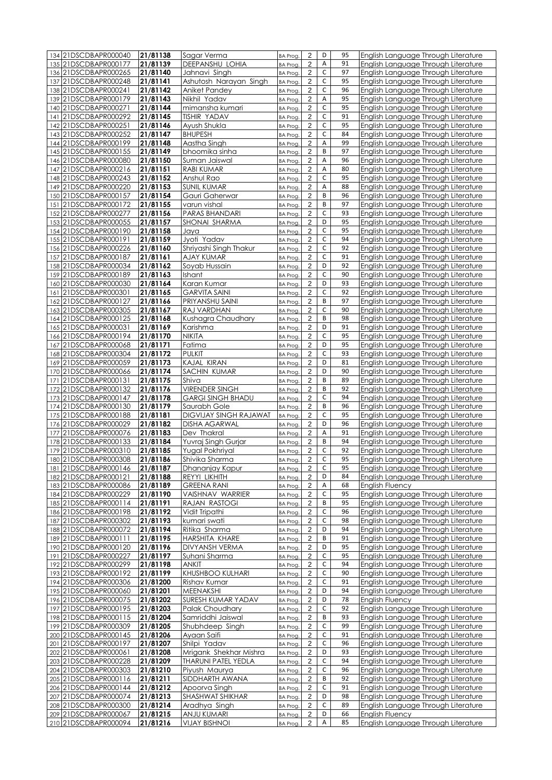| 134 21DSCDBAPR000040                            | 21/81138             | Sagar Verma                    | <b>BA Prog.</b>                   | $\overline{c}$                            | D                | 95       | English Language Through Literature                                        |
|-------------------------------------------------|----------------------|--------------------------------|-----------------------------------|-------------------------------------------|------------------|----------|----------------------------------------------------------------------------|
| 135 21DSCDBAPR000177                            | 21/81139             | DEEPANSHU LOHIA                | BA Prog.                          | $\overline{2}$                            | Α                | 91       | English Language Through Literature                                        |
| 136 21DSCDBAPR000265                            | 21/81140             | Jahnavi Singh                  | <b>BA Prog</b>                    | $\overline{\mathbf{c}}$                   | C                | 97       | English Language Through Literature                                        |
| 137 21DSCDBAPR000248                            | 21/81141             | Ashutosh Narayan Singh         | <b>BA Prog</b>                    | $\overline{2}$                            | $\mathsf C$      | 95       | English Language Through Literature                                        |
| 138 21DSCDBAPR000241                            | 21/81142             | Aniket Pandey                  | <b>BA Prog</b>                    | $\overline{2}$                            | C                | 96       | English Language Through Literature                                        |
| 139 21DSCDBAPR000179                            | 21/81143             | Nikhil Yadav                   | <b>BA Prog</b>                    | $\overline{2}$                            | $\sf A$          | 95       | English Language Through Literature                                        |
| 140 21DSCDBAPR000271                            | 21/81144             | mimansha kumari                | <b>BA Prog.</b>                   | $\overline{2}$                            | C                | 95       | English Language Through Literature                                        |
| 141 21DSCDBAPR000292                            | 21/81145             | <b>TISHIR YADAV</b>            | <b>BA Prog</b>                    | $\overline{c}$                            | C                | 91       | English Language Through Literature                                        |
| 142 21DSCDBAPR000251                            | 21/81146             | Ayush Shukla                   | <b>BA Prog</b>                    | $\overline{2}$                            | $\mathsf C$      | 95       | English Language Through Literature                                        |
| 143 21DSCDBAPR000252                            | 21/81147             | <b>BHUPESH</b>                 | <b>BA Prog</b>                    | $\overline{\mathbf{c}}$                   | C                | 84       | English Language Through Literature                                        |
| 144 21DSCDBAPR000199                            | 21/81148             | Aastha Singh                   | <b>BA Prog</b>                    | $\overline{2}$                            | A                | 99       | English Language Through Literature                                        |
| 145 21DSCDBAPR000155                            | 21/81149             | bhoomika sinha                 | <b>BA Prog.</b>                   | $\overline{2}$                            | B                | 97       | English Language Through Literature                                        |
| 146 21DSCDBAPR000080                            | 21/81150             | Suman Jaiswal                  |                                   | $\overline{c}$                            | Α                | 96       | English Language Through Literature                                        |
|                                                 | 21/81151             | RABI KUMAR                     | <b>BA Prog</b>                    | $\overline{2}$                            | A                | 80       |                                                                            |
| 147 21DSCDBAPR000216                            |                      |                                | BA Prog.                          |                                           | $\mathsf C$      | 95       | English Language Through Literature                                        |
| 148 21DSCDBAPR000243                            | 21/81152             | Anshul Rao                     | <b>BA Prog</b>                    | $\overline{\mathbf{c}}$                   | A                | 88       | English Language Through Literature                                        |
| 149 21DSCDBAPR000220                            | 21/81153             | <b>SUNIL KUMAR</b>             | <b>BA Prog</b>                    | $\overline{2}$                            | B                |          | English Language Through Literature                                        |
| 150 21DSCDBAPR000157                            | 21/81154             | Gauri Gaherwar                 | <b>BA Prog.</b>                   | $\overline{2}$                            | B                | 96       | English Language Through Literature                                        |
| 151 21DSCDBAPR000172                            | 21/81155             | varun vishal                   | <b>BA Prog.</b>                   | $\overline{c}$                            | $\mathsf C$      | 97       | English Language Through Literature                                        |
| 152 21DSCDBAPR000277                            | 21/81156             | PARAS BHANDARI                 | <b>BA Prog.</b>                   | $\overline{2}$                            |                  | 93       | English Language Through Literature                                        |
| 153 21DSCDBAPR000055                            | 21/81157             | SHONAI SHARMA                  | <b>BA Prog</b>                    | $\overline{c}$                            | D                | 95       | English Language Through Literature                                        |
| 154 21DSCDBAPR000190                            | 21/81158             | Jaya                           | <b>BA Prog.</b>                   | $\overline{c}$                            | $\mathsf C$      | 95       | English Language Through Literature                                        |
| 155 21DSCDBAPR000191                            | 21/81159             | Jyoti Yadav                    | <b>BA Prog</b>                    | $\overline{2}$                            | C                | 94       | English Language Through Literature                                        |
| 156 21DSCDBAPR000226                            | 21/81160             | Shriyashi Singh Thakur         | <b>BA Prog</b>                    | $\overline{2}$                            | $\mathsf C$      | 92       | English Language Through Literature                                        |
| 157 21DSCDBAPR000187                            | 21/81161             | AJAY KUMAR                     | <b>BA Prog.</b>                   | $\overline{2}$                            | $\mathsf C$      | 91       | English Language Through Literature                                        |
| 158 21DSCDBAPR000034                            | 21/81162             | Soyab Hussain                  | <b>BA Prog</b>                    | $\overline{2}$                            | D                | 92       | English Language Through Literature                                        |
| 159 21DSCDBAPR000189                            | 21/81163             | Ishant                         | BA Prog.                          | $\overline{2}$                            | $\mathsf C$      | 90       | English Language Through Literature                                        |
| 160 21DSCDBAPR000030                            | 21/81164             | Karan Kumar                    | <b>BA Prog.</b>                   | $\overline{\mathbf{c}}$                   | D<br>$\mathsf C$ | 93<br>92 | English Language Through Literature                                        |
| 21DSCDBAPR000301<br>161<br>162 21DSCDBAPR000127 | $\sqrt{21/81165}$    | <b>GARVITA SAINI</b>           | <b>BA Prog</b>                    | $\overline{2}$                            | B                | 97       | English Language Through Literature                                        |
| 163 21DSCDBAPR000305                            | 21/81166<br>21/81167 | PRIYANSHU SAINI<br>RAJ VARDHAN | <b>BA Prog</b>                    | $\overline{2}$<br>$\overline{2}$          | $\mathsf C$      | 90       | English Language Through Literature<br>English Language Through Literature |
| 164 21DSCDBAPR000125                            | 21/81168             | Kushagra Chaudhary             | <b>BA Prog</b><br><b>BA Prog.</b> | $\overline{2}$                            | B                | 98       | English Language Through Literature                                        |
| 165 21DSCDBAPR000031                            | 21/81169             |                                |                                   | $\overline{2}$                            | D                | 91       | English Language Through Literature                                        |
| 166 21DSCDBAPR000194                            | 21/81170             | Karishma<br>NIKITA             | BA Prog.                          | $\overline{c}$                            | $\mathsf C$      | 95       | English Language Through Literature                                        |
| 167 21DSCDBAPR000068                            | 21/81171             | Fatima                         | <b>BA Prog</b><br><b>BA Prog</b>  | $\overline{\mathbf{c}}$                   | D                | 95       | English Language Through Literature                                        |
| 168 21DSCDBAPR000304                            | 21/81172             | <b>PULKIT</b>                  | <b>BA Prog</b>                    | $\overline{c}$                            | $\mathsf C$      | 93       | English Language Through Literature                                        |
| 169 21DSCDBAPR000059                            | 21/81173             | KAJAL KIRAN                    | <b>BA Prog</b>                    | $\overline{2}$                            | D                | 81       | English Language Through Literature                                        |
| 170 21DSCDBAPR000066                            | 21/81174             | SACHIN KUMAR                   | <b>BA Prog</b>                    | $\overline{c}$                            | D                | 90       | English Language Through Literature                                        |
| 171 21DSCDBAPR000131                            | 21/81175             | Shiva                          | BA Prog.                          | $\overline{\mathbf{c}}$                   | B                | 89       | English Language Through Literature                                        |
| 172 21DSCDBAPR000132                            | 21/81176             | <b>VIRENDER SINGH</b>          | <b>BA Prog</b>                    | $\overline{c}$                            | B                | 92       | English Language Through Literature                                        |
| 173 21DSCDBAPR000147                            | 21/81178             | <b>GARGI SINGH BHADU</b>       | <b>BA Prog</b>                    | $\overline{2}$                            | $\mathsf C$      | 94       | English Language Through Literature                                        |
| 174 21DSCDBAPR000130                            | 21/81179             | Saurabh Gole                   | <b>BA Prog</b>                    | $\overline{2}$                            | B                | 96       | English Language Through Literature                                        |
| 175 21DSCDBAPR000188                            | 21/81181             | DIGVIJAY SINGH RAJAWAT         | <b>BA Prog</b>                    | $\overline{2}$                            | $\mathsf C$      | 95       | English Language Through Literature                                        |
| 176 21DSCDBAPR000029                            | 21/81182             | <b>DISHA AGARWAL</b>           | <b>BA Prog.</b>                   | $\overline{2}$                            | D                | 96       | English Language Through Literature                                        |
| 177 21DSCDBAPR000076                            | 21/81183             | Dev Thakral                    | <b>BA Prog.</b>                   | $\overline{c}$                            | A                | 91       | English Language Through Literature                                        |
| 178 21DSCDBAPR000133                            | $\sqrt{21/81184}$    | Yuvraj Singh Gurjar            | <b>BA Prog.</b>                   | $\overline{\mathbf{c}}$                   | B                | 94       | English Language Through Literature                                        |
| 179 21DSCDBAPR000310                            | 21/81185             | Yugal Pokhriyal                | <b>BA Prog</b>                    | $\overline{\mathbf{c}}$                   | С                | 92       | English Language Through Literature                                        |
| 180 21DSCDBAPR000308                            | 21/81186             | Shivika Sharma                 | <b>BA Prog</b>                    | $\overline{2}$                            | $\mathsf C$      | 95       | English Language Through Literature                                        |
| 181 21 DSCDBAPR000146                           | 21/81187             | Dhananjay Kapur                | BA Prog.                          | 2                                         | C                | 95       | English Language Through Literature                                        |
| 182 21DSCDBAPR000121                            | 21/81188             | REYYI LIKHITH                  | <b>BA Prog.</b>                   | $\overline{c}$                            | D                | 84       | English Language Through Literature                                        |
| 183 21DSCDBAPR000086                            | 21/81189             | <b>GREENA RANI</b>             | <b>BA Prog.</b>                   | $\overline{\mathbf{c}}$                   | Α                | 68       | English Fluency                                                            |
| 184 21DSCDBAPR000229                            | 21/81190             | VAISHNAV WARRIER               | <b>BA Prog.</b>                   | $\overline{c}$                            | C                | 95       | English Language Through Literature                                        |
| 185 21DSCDBAPR000114                            | 21/81191             | RAJAN RASTOGI                  | BA Prog.                          | 2                                         | В                | 95       | English Language Through Literature                                        |
| 186 21DSCDBAPR000198                            | 21/81192             | Vidit Tripathi                 | <b>BA Prog.</b>                   | $\overline{\mathbf{c}}$                   | C                | 96       | English Language Through Literature                                        |
| 187 21DSCDBAPR000302                            | 21/81193             | kumari swati                   | <b>BA Prog</b>                    | $\overline{2}$                            | C                | 98       | English Language Through Literature                                        |
| 188 21DSCDBAPR000072                            | 21/81194             | Ritika Sharma                  | <b>BA Prog.</b>                   | $\overline{\mathbf{c}}$                   | D                | 94       | English Language Through Literature                                        |
| 189 21DSCDBAPR000111                            | 21/81195             | HARSHITA KHARE                 | <b>BA Prog.</b>                   | $\overline{2}$                            | B                | 91       | English Language Through Literature                                        |
| 190 21DSCDBAPR000120                            | 21/81196             | DIVYANSH VERMA                 | <b>BA Prog.</b>                   | $\overline{\mathbf{c}}$                   | D                | 95       | English Language Through Literature                                        |
| 191 21DSCDBAPR000227                            | 21/81197             | Suhani Sharma                  | <b>BA Prog.</b>                   | $\overline{\mathbf{c}}$                   | C                | 95       | English Language Through Literature                                        |
| 192 21DSCDBAPR000299                            | 21/81198             | <b>ANKIT</b>                   | <b>BA Prog</b>                    | $\overline{2}$                            | $\mathsf C$      | 94       | English Language Through Literature                                        |
| 193 21DSCDBAPR000192                            | 21/81199             | KHUSHBOO KULHARI               | <b>BA Prog.</b>                   | 2                                         | C                | 90       | English Language Through Literature                                        |
| 194 21DSCDBAPR000306                            | 21/81200             | Rishav Kumar                   | <b>BA Prog.</b>                   | $\overline{c}$                            | C                | 91       | English Language Through Literature                                        |
| 195 21DSCDBAPR000060                            | 21/81201             | MEENAKSHI                      | BA Prog.                          | $\overline{c}$                            | D                | 94       | English Language Through Literature                                        |
| 196 21DSCDBAPR000075                            | 21/81202             | SURESH KUMAR YADAV             | <b>BA Prog.</b>                   | $\overline{c}$                            | D                | 78       | <b>English Fluency</b>                                                     |
| 197 21DSCDBAPR000195                            | 21/81203             | <b>Palak Choudhary</b>         | <b>BA Prog.</b>                   | 2                                         | C                | 92       | English Language Through Literature                                        |
| 198 21DSCDBAPR000115                            | 21/81204             | Samriddhi Jaiswal              | <b>BA Prog</b>                    | $\overline{\mathbf{c}}$                   | В                | 93       | English Language Through Literature                                        |
| 199 21DSCDBAPR000309                            | 21/81205             | Shubhdeep Singh                | <b>BA Prog</b>                    | $\overline{2}$                            | C                | 99       | English Language Through Literature                                        |
| 200 21DSCDBAPR000145                            | 21/81206             | Ayaan Saifi                    | <b>BA Prog.</b>                   | $\overline{\mathbf{c}}$                   | C                | 91       | English Language Through Literature                                        |
| 201 21DSCDBAPR000197                            | 21/81207             | Shilpi Yadav                   | <b>BA Prog.</b>                   | $\overline{2}$                            | C                | 96       | English Language Through Literature                                        |
| 202 21DSCDBAPR000061                            | 21/81208             | Mrigank Shekhar Mishra         | <b>BA Prog.</b>                   | $\overline{\mathbf{c}}$                   | D                | 93       | English Language Through Literature                                        |
| 203 21DSCDBAPR000228                            | 21/81209             | <b>THARUNI PATEL YEDLA</b>     | <b>BA Prog.</b>                   | $\overline{c}$                            | C                | 94       | English Language Through Literature                                        |
| 204 21DSCDBAPR000303                            | 21/81210             | Piyush Maurya                  | <b>BA Prog.</b>                   | 2                                         | С                | 96       | English Language Through Literature                                        |
| 205 21DSCDBAPR000116                            | 21/81211             | SIDDHARTH AWANA                | <b>BA Prog.</b>                   | 2                                         | В<br>C           | 92<br>91 | English Language Through Literature                                        |
| 206 21DSCDBAPR000144                            | 21/81212             | Apoorva Singh                  | <b>BA Prog.</b>                   | $\overline{2}$                            | D                | 98       | English Language Through Literature                                        |
| 207 21DSCDBAPR000074<br>208 21DSCDBAPR000300    | 21/81213             | SHASHWAT SHIKHAR               | <b>BA Prog.</b>                   | $\overline{\mathbf{c}}$<br>$\overline{c}$ | $\mathsf C$      | 89       | English Language Through Literature<br>English Language Through Literature |
|                                                 | 21/81214<br>21/81215 | Aradhya Singh<br>ANJU KUMARI   | <b>BA Prog.</b>                   | 2                                         | D                | 66       | <b>English Fluency</b>                                                     |
| 209 21DSCDBAPR000067<br>210 21DSCDBAPR000094    | 21/81216             | <b>VIJAY BISHNOI</b>           | <b>BA Prog.</b>                   | 2                                         | А                | 85       | English Language Through Literature                                        |
|                                                 |                      |                                | <b>BA Prog</b>                    |                                           |                  |          |                                                                            |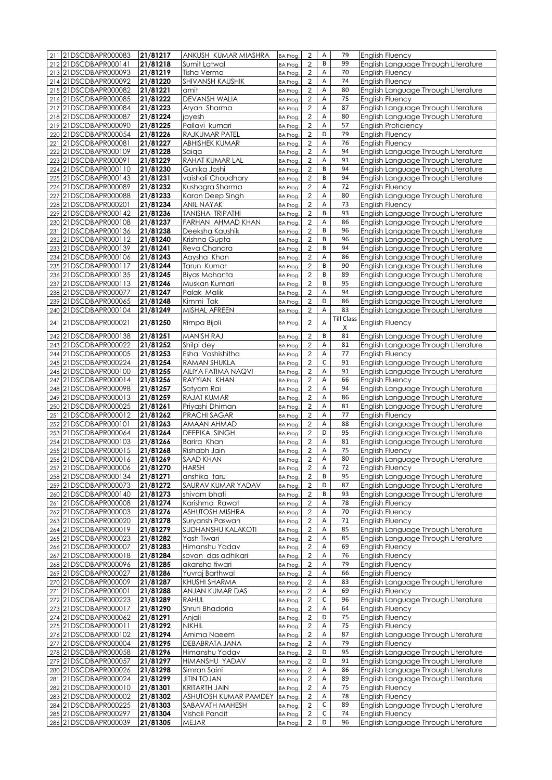| 211 21DSCDBAPR000083  | 21/81217 | ANKUSH KUMAR MIASHRA      | BA Prog.        | 2              | Α           | 79                | <b>English Fluency</b>              |
|-----------------------|----------|---------------------------|-----------------|----------------|-------------|-------------------|-------------------------------------|
| 212 21DSCDBAPR000141  | 21/81218 | Sumit Latwal              | <b>BA Prog.</b> | 2              | B           | 99                | English Language Through Literature |
| 213 21DSCDBAPR000093  | 21/81219 | Tisha Verma               | BA Prog.        | $\overline{c}$ | А           | 70                | <b>English Fluency</b>              |
| 214 21DSCDBAPR000092  | 21/81220 | <b>SHIVANSH KAUSHIK</b>   | BA Prog.        | $\overline{2}$ | A           | 74                | <b>English Fluency</b>              |
| 215 21DSCDBAPR000082  | 21/81221 | amit                      | BA Prog.        | $\overline{2}$ | Α           | 80                | English Language Through Literature |
| 216 21DSCDBAPR000085  | 21/81222 | <b>DEVANSH WALIA</b>      | BA Prog.        | $\sqrt{2}$     | A           | 75                | <b>English Fluency</b>              |
| 217 21DSCDBAPR000084  | 21/81223 | Aryan Sharma              | BA Prog.        | $\overline{c}$ | Α           | 87                | English Language Through Literature |
| 218 21DSCDBAPR000087  | 21/81224 | jayesh                    | BA Prog.        | $\overline{c}$ | A           | 80                | English Language Through Literature |
| 219 21DSCDBAPR000090  | 21/81225 | Pallavi kumari            | <b>BA Prog.</b> | $\mathbf 2$    | A           | 57                | <b>English Proficiency</b>          |
| 220 21DSCDBAPR000054  | 21/81226 | RAJKUMAR PATEL            | <b>BA Prog.</b> | $\overline{2}$ | D           | 79                | English Fluency                     |
| 221 21DSCDBAPR000081  | 21/81227 | ABHISHEK KUMAR            |                 | $\overline{2}$ | А           | 76                | <b>English Fluency</b>              |
|                       |          |                           | BA Prog.        |                | Α           | 94                |                                     |
| 222 21DSCDBAPR000109  | 21/81228 | Saiga                     | BA Prog.        | $\overline{c}$ | Α           | 91                | English Language Through Literature |
| 223 21DSCDBAPR000091  | 21/81229 | RAHAT KUMAR LAL           | BA Prog.        | $\overline{c}$ |             |                   | English Language Through Literature |
| 224 21DSCDBAPR000110  | 21/81230 | Gunika Joshi              | BA Prog.        | 2              | B           | 94                | English Language Through Literature |
| 225 21DSCDBAPR000143  | 21/81231 | vaishali Choudhary        | BA Prog.        | $\overline{c}$ | B           | 94                | English Language Through Literature |
| 226 21DSCDBAPR000089  | 21/81232 | Kushagra Sharma           | BA Prog.        | $\overline{2}$ | Α           | 72                | <b>English Fluency</b>              |
| 227 21DSCDBAPR000088  | 21/81233 | Karan Deep Singh          | <b>BA Prog.</b> | $\overline{2}$ | А           | 80                | English Language Through Literature |
| 228 21DSCDBAPR000201  | 21/81234 | ANIL NAYAK                | BA Prog.        | $\sqrt{2}$     | А           | 73                | English Fluency                     |
| 229 21DSCDBAPR000142  | 21/81236 | TANISHA TRIPATHI          | BA Prog.        | $\mathbf 2$    | B           | 93                | English Language Through Literature |
| 230 21DSCDBAPR000108  | 21/81237 | FARHAN AHMAD KHAN         | BA Prog.        | $\overline{2}$ | Α           | 86                | English Language Through Literature |
| 231 21DSCDBAPR000136  | 21/81238 | Deeksha Kaushik           | BA Prog.        | $\overline{c}$ | B           | 96                | English Language Through Literature |
| 232 21DSCDBAPR000112  | 21/81240 | Krishna Gupta             | BA Prog.        | $\overline{2}$ | B           | 96                | English Language Through Literature |
| 233 21DSCDBAPR000139  | 21/81241 | Reva Chandra              | <b>BA Prog.</b> | $\overline{2}$ | B           | 94                | English Language Through Literature |
| 234 21DSCDBAPR000106  | 21/81243 | Aaysha Khan               | BA Prog.        | $\overline{2}$ | А           | 86                | English Language Through Literature |
| 235 21DSCDBAPR000117  | 21/81244 | Tarun Kumar               | BA Prog.        | $\overline{c}$ | B           | 90                | English Language Through Literature |
| 236 21DSCDBAPR000135  | 21/81245 | <b>Biyas Mohanta</b>      | BA Prog.        | 2              | B           | 89                | English Language Through Literature |
| 237 21DSCDBAPR000113  | 21/81246 | Muskan Kumari             | BA Prog.        | $\overline{c}$ | B           | 95                | English Language Through Literature |
| 238 21DSCDBAPR000077  | 21/81247 | Palak Malik               | BA Prog.        | $\overline{c}$ | A           | 94                | English Language Through Literature |
| 239 21DSCDBAPR000065  | 21/81248 | Kimmi Tak                 | BA Prog.        | $\overline{2}$ | D           | 86                | English Language Through Literature |
| 240 21DSCDBAPR000104  | 21/81249 | <b>MISHAL AFREEN</b>      | BA Prog.        | $\overline{2}$ | A           | 83                | English Language Through Literature |
|                       |          |                           |                 |                |             | <b>Till Class</b> |                                     |
| 241 21DSCDBAPR000021  | 21/81250 | Rimpa Bijoli              | BA Prog.        | $\overline{2}$ | A           | X                 | English Fluency                     |
| 242 21DSCDBAPR000138  | 21/81251 | <b>MANISH RAJ</b>         | BA Prog.        | 2              | B           | 81                | English Language Through Literature |
| 243 21DSCDBAPR000022  | 21/81252 | Shilpi dey                | <b>BA Prog.</b> | $\overline{c}$ | А           | 81                | English Language Through Literature |
| 244 21DSCDBAPR000005  | 21/81253 | Esha Vashishitha          | <b>BA Prog.</b> | $\overline{2}$ | A           | 77                | English Fluency                     |
| 245 21DSCDBAPR000224  | 21/81254 | RAMAN SHUKLA              | BA Prog.        | $\overline{2}$ | $\mathsf C$ | 91                | English Language Through Literature |
| 246 21DSCDBAPR000100  | 21/81255 | AILIYA FATIMA NAQVI       | BA Prog.        | $\sqrt{2}$     | A           | 91                | English Language Through Literature |
| 247 21DSCDBAPR000014  | 21/81256 | RAYYIAN KHAN              | BA Prog.        | $\overline{c}$ | А           | 66                | <b>English Fluency</b>              |
| 248 21DSCDBAPR000098  | 21/81257 | Satyam Rai                | BA Prog.        | $\overline{c}$ | A           | 94                | English Language Through Literature |
| 249 21DSCDBAPR000013  | 21/81259 | RAJAT KUMAR               | <b>BA Prog.</b> | $\overline{2}$ | A           | 86                | English Language Through Literature |
| 250 21DSCDBAPR000025  | 21/81261 | Priyashi Dhiman           | BA Prog.        | $\overline{2}$ | А           | 81                | English Language Through Literature |
| 251 21DSCDBAPR000012  | 21/81262 | PRACHI SAGAR              | BA Prog.        | $\overline{2}$ | A           | 77                | English Fluency                     |
| 252 21DSCDBAPR000101  | 21/81263 | AMAAN AHMAD               | BA Prog.        | $\overline{c}$ | Α           | 88                | English Language Through Literature |
| 253 21DSCDBAPR000064  | 21/81264 | <b>DEEPIKA SINGH</b>      | BA Prog.        | $\overline{c}$ | D           | 95                | English Language Through Literature |
| 254 21DSCDBAPR000103  | 21/81266 | Barira Khan               | BA Prog.        | 2              | Α           | 81                | English Language Through Literature |
| 255 21DSCDBAPR000015  | 21/81268 | Rishabh Jain              |                 | 2              | Α           | 75                | <b>English Fluency</b>              |
| 256 21DSCDBAPR000016  | 21/81269 | SAAD KHAN                 | BA Prog.        | $\overline{2}$ | A           | 80                | English Language Through Literature |
|                       |          |                           | BA Prog.        |                |             |                   |                                     |
| 257 21 DSCDBAPR000006 | 21/81270 | HARSH                     | BA Prog.        | 2              | A           | 72                | English Fluency                     |
| 258 21DSCDBAPR000134  | 21/81271 | anshika taru              | BA Prog.        | 2              | B           | 95                | English Language Through Literature |
| 259 21DSCDBAPR000073  | 21/81272 | SAURAV KUMAR YADAV        | BA Prog.        | $\overline{c}$ | D           | 87                | English Language Through Literature |
| 260 21DSCDBAPR000140  | 21/81273 | shivam bhati              | BA Prog.        | $\overline{c}$ | B           | 93                | English Language Through Literature |
| 261 21DSCDBAPR000008  | 21/81274 | Karishma Rawat            | BA Prog.        | 2              | А           | 78                | <b>English Fluency</b>              |
| 262 21DSCDBAPR000003  | 21/81276 | <b>ASHUTOSH MISHRA</b>    | BA Prog.        | $\overline{2}$ | А           | 70                | English Fluency                     |
| 263 21DSCDBAPR000020  | 21/81278 | Suryansh Paswan           | BA Prog.        | $\sqrt{2}$     | А           | 71                | <b>English Fluency</b>              |
| 264 21DSCDBAPR000019  | 21/81279 | <b>SUDHANSHU KALAKOTI</b> | BA Prog.        | $\overline{2}$ | А           | 85                | English Language Through Literature |
| 265 21DSCDBAPR000023  | 21/81282 | Yash Tiwari               | BA Prog.        | $\sqrt{2}$     | А           | 85                | English Language Through Literature |
| 266 21DSCDBAPR000007  | 21/81283 | Himanshu Yadav            | <b>BA Prog.</b> | 2              | Α           | 69                | English Fluency                     |
| 267 21DSCDBAPR000018  | 21/81284 | sovan das adhikari        | BA Prog.        | 2              | Α           | 76                | <b>English Fluency</b>              |
| 268 21DSCDBAPR000096  | 21/81285 | akansha tiwari            | BA Prog.        | $\overline{c}$ | А           | 79                | <b>English Fluency</b>              |
| 269 21DSCDBAPR000027  | 21/81286 | Yuvraj Barthwal           | BA Prog.        | $\overline{c}$ | А           | 66                | <b>English Fluency</b>              |
| 270 21DSCDBAPR000009  | 21/81287 | KHUSHI SHARMA             | BA Prog.        | $\overline{2}$ | Α           | 83                | English Language Through Literature |
| 271 21DSCDBAPR000001  | 21/81288 | ANJAN KUMAR DAS           | BA Prog.        | 2              | А           | 69                | <b>English Fluency</b>              |
| 272 21DSCDBAPR000223  | 21/81289 | <b>RAHUL</b>              | BA Prog.        | $\overline{c}$ | $\mathsf C$ | 96                | English Language Through Literature |
| 273 21DSCDBAPR000017  | 21/81290 | Shruti Bhadoria           | BA Prog.        | 2              | Α           | 64                | <b>English Fluency</b>              |
| 274 21DSCDBAPR000062  | 21/81291 | Anjali                    | BA Prog.        | $\overline{2}$ | D           | 75                | <b>English Fluency</b>              |
| 275 21DSCDBAPR000011  | 21/81292 | <b>NIKHIL</b>             | BA Prog.        | $\overline{2}$ | А           | 75                | <b>English Fluency</b>              |
| 276 21DSCDBAPR000102  | 21/81294 | Amima Naeem               | BA Prog.        | 2              | Α           | 87                | English Language Through Literature |
| 277 21DSCDBAPR000004  | 21/81295 | DEBABRATA JANA            | BA Prog.        | $\sqrt{2}$     | A           | 79                | <b>English Fluency</b>              |
| 278 21DSCDBAPR000058  | 21/81296 | Himanshu Yadav            | BA Prog.        | $\overline{c}$ | D           | 95                | English Language Through Literature |
| 279 21DSCDBAPR000057  | 21/81297 | HIMANSHU YADAV            | BA Prog.        | 2              | D           | 91                | English Language Through Literature |
| 280 21DSCDBAPR000026  | 21/81298 | Simran Saini              | BA Prog.        | $\sqrt{2}$     | А           | 86                | English Language Through Literature |
| 281 21DSCDBAPR000024  | 21/81299 | <b>JITIN TOJAN</b>        | BA Prog.        | $\overline{2}$ | Α           | 89                | English Language Through Literature |
| 282 21DSCDBAPR000010  | 21/81301 | <b>KRITARTH JAIN</b>      | BA Prog.        | $\sqrt{2}$     | А           | 75                | <b>English Fluency</b>              |
| 283 21DSCDBAPR000002  | 21/81302 | ASHUTOSH KUMAR PAMDEY     | BA Prog.        | $\overline{2}$ | А           | 78                | <b>English Fluency</b>              |
| 284 21DSCDBAPR000225  | 21/81303 | SABAVATH MAHESH           | BA Prog.        | $\sqrt{2}$     | C           | 89                | English Language Through Literature |
| 285 21 DSCDBAPR000297 | 21/81304 | Vishali Pandit            | <b>BA Prog.</b> | 2              | C           | 74                | <b>English Fluency</b>              |
| 286 21DSCDBAPR000039  | 21/81305 | MEJAR                     | BA Prog.        | $\overline{c}$ | D           | 96                | English Language Through Literature |